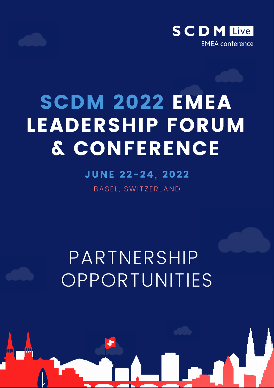

# SCDM 2022 EMEA LEADERSHIP FORUM & CONFERENCE

## JUNE 22-24, 2022

BASEL, SWITZERLAND

# PARTNERSHIP OPPORTUNITIES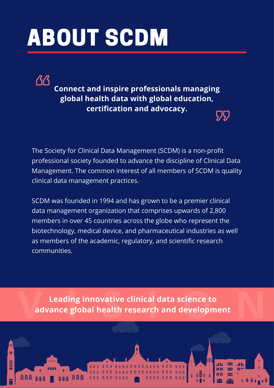# ABOUT SCDM

 $\Delta$  $\Delta$ 

**Connect and inspire professionals managing global health data with global education, certification and advocacy.**  $\sqrt{27}$ 

The Society for Clinical Data Management (SCDM) is a non-profit professional society founded to advance the discipline of Clinical Data Management. The common interest of all members of SCDM is quality clinical data management practices.

SCDM was founded in 1994 and has grown to be a premier clinical data management organization that comprises upwards of 2,800 members in over 45 countries across the globe who represent the biotechnology, medical device, and pharmaceutical industries as well as members of the academic, regulatory, and scientific research communities.

**I** Leading innovative clinical data science to<br>advance global health research and development **Leading innovative clinical data science to advance global health research and development**

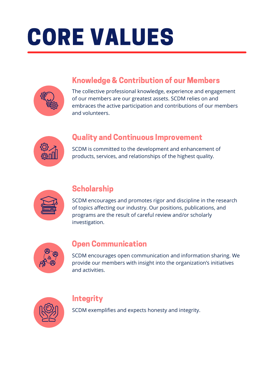# CORE VALUES

## Knowledge & Contribution of our Members

The collective professional knowledge, experience and engagement of our members are our greatest assets. SCDM relies on and embraces the active participation and contributions of our members and volunteers.



### Quality and Continuous Improvement

SCDM is committed to the development and enhancement of products, services, and relationships of the highest quality.



### **Scholarship**

SCDM encourages and promotes rigor and discipline in the research of topics affecting our industry. Our positions, publications, and programs are the result of careful review and/or scholarly investigation.



### Open Communication

SCDM encourages open communication and information sharing. We provide our members with insight into the organization's initiatives and activities.



### **Integrity**

SCDM exemplifies and expects honesty and integrity.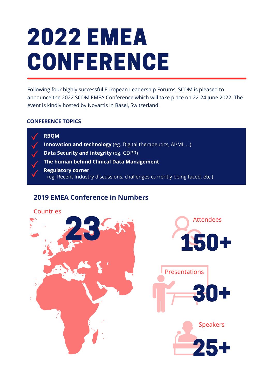# 2022 EMEA CONFERENCE

Following four highly successful European Leadership Forums, SCDM is pleased to announce the 2022 SCDM EMEA Conference which will take place on 22-24 June 2022. The event is kindly hosted by Novartis in Basel, Switzerland.

#### **CONFERENCE TOPICS**



**RBQM Innovation and technology** (eg. Digital therapeutics, AI/ML …) **Data Security and integrity** (eg. GDPR) **The human behind Clinical Data Management Regulatory corner** (eg: Recent Industry discussions, challenges currently being faced, etc.)

#### **2019 EMEA Conference in Numbers**

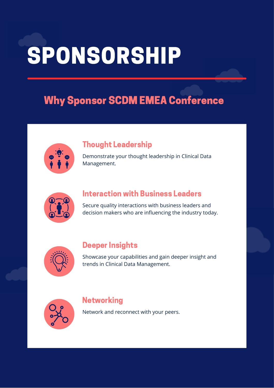# SPONSORSHIP

## Why Sponsor SCDM EMEA Conference

|   | $\ddot{.}$ |   |
|---|------------|---|
| è |            | ä |

### Thought Leadership

Demonstrate your thought leadership in Clinical Data Management.



#### Interaction with Business Leaders

Secure quality interactions with business leaders and decision makers who are influencing the industry today.



### Deeper Insights

Showcase your capabilities and gain deeper insight and trends in Clinical Data Management.



#### Networking

Network and reconnect with your peers.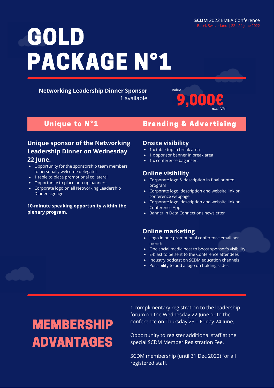**Networking Leadership Dinner Sponsor** 1 available

9,000€ excl. VAT

### Unique to  $N^{\circ}1$  Branding & Advertising

## **Unique sponsor of the Networking Leadership Dinner on Wednesday**

#### **22 June.**

- Opportunity for the sponsorship team members to personally welcome delegates
- 1 table to place promotional collateral
- Opportunity to place pop-up banners
- Corporate logo on all Networking Leadership Dinner signage

#### **10-minute speaking opportunity within the plenary program.**

#### **Onsite visibility**

- 1 x table top in break area
- 1 x sponsor banner in break area

Value

• 1 x conference bag insert

#### **Online visibility**

- Corporate logo & description in final printed program
- Corporate logo, description and website link on conference webpage
- Corporate logo, description and website link on Conference App
- Banner in Data Connections newsletter

#### **Online marketing**

- Logo in one promotional conference email per month
- One social media post to boost sponsor's visibility
- E-blast to be sent to the Conference attendees
- Industry podcast on SCDM education channels
- Possibility to add a logo on holding slides

## MEMBERSHIP ADVANTAGES

1 complimentary registration to the leadership forum on the Wednesday 22 June or to the conference on Thursday 23 – Friday 24 June.

Opportunity to register additional staff at the special SCDM Member Registration Fee.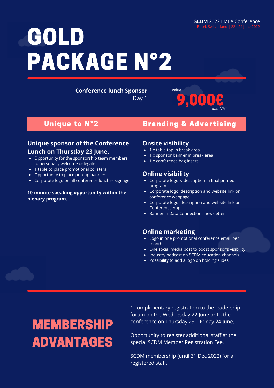**Conference lunch Sponsor**

Day 1

#### Unique to N°2 Branding & Advertising

9,000€

excl. VAT

#### **Unique sponsor of the Conference Lunch on Thursday 23 June.**

- Opportunity for the sponsorship team members to personally welcome delegates
- 1 table to place promotional collateral
- Opportunity to place pop-up banners
- Corporate logo on all conference lunches signage

#### **10-minute speaking opportunity within the plenary program.**

#### **Onsite visibility**

- 1 x table top in break area
- 1 x sponsor banner in break area

Value

• 1 x conference bag insert

#### **Online visibility**

- Corporate logo & description in final printed program
- Corporate logo, description and website link on conference webpage
- Corporate logo, description and website link on Conference App
- **Banner in Data Connections newsletter**

#### **Online marketing**

- Logo in one promotional conference email per month
- One social media post to boost sponsor's visibility
- Industry podcast on SCDM education channels
- Possibility to add a logo on holding slides

## MEMBERSHIP ADVANTAGES

1 complimentary registration to the leadership forum on the Wednesday 22 June or to the conference on Thursday 23 – Friday 24 June.

Opportunity to register additional staff at the special SCDM Member Registration Fee.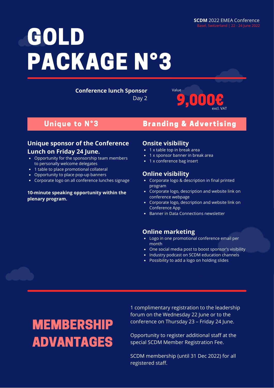**Conference lunch Sponsor**

Day 2

### Unique to N°3 Branding & Advertising

9,000€

excl. VAT

#### **Unique sponsor of the Conference Lunch on Friday 24 June.**

- Opportunity for the sponsorship team members to personally welcome delegates
- 1 table to place promotional collateral
- Opportunity to place pop-up banners
- Corporate logo on all conference lunches signage

#### **10-minute speaking opportunity within the plenary program.**

#### **Onsite visibility**

- 1 x table top in break area
- 1 x sponsor banner in break area

Value

• 1 x conference bag insert

#### **Online visibility**

- Corporate logo & description in final printed program
- Corporate logo, description and website link on conference webpage
- Corporate logo, description and website link on Conference App
- **Banner in Data Connections newsletter**

#### **Online marketing**

- Logo in one promotional conference email per month
- One social media post to boost sponsor's visibility
- Industry podcast on SCDM education channels
- Possibility to add a logo on holding slides

## MEMBERSHIP ADVANTAGES

1 complimentary registration to the leadership forum on the Wednesday 22 June or to the conference on Thursday 23 – Friday 24 June.

Opportunity to register additional staff at the special SCDM Member Registration Fee.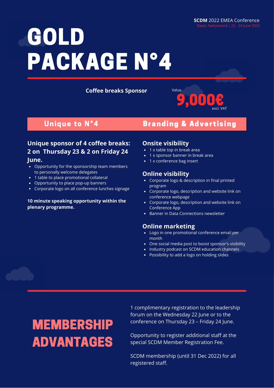**Coffee breaks Sponsor**



#### Unique to N°4 Branding & Advertising

#### **Unique sponsor of 4 coffee breaks: 2 on Thursday 23 & 2 on Friday 24 June.**

- Opportunity for the sponsorship team members to personally welcome delegates
- 1 table to place promotional collateral
- Opportunity to place pop-up banners
- Corporate logo on all conference lunches signage

#### **10 minute speaking opportunity within the plenary programme.**

#### **Onsite visibility**

- 1 x table top in break area
- 1 x sponsor banner in break area
- 1 x conference bag insert

#### **Online visibility**

- Corporate logo & description in final printed program
- Corporate logo, description and website link on conference webpage
- Corporate logo, description and website link on Conference App
- Banner in Data Connections newsletter

#### **Online marketing**

- Logo in one promotional conference email per month
- One social media post to boost sponsor's visibility
- Industry podcast on SCDM education channels
- Possibility to add a logo on holding slides

## MEMBERSHIP ADVANTAGES

1 complimentary registration to the leadership forum on the Wednesday 22 June or to the conference on Thursday 23 – Friday 24 June.

Opportunity to register additional staff at the special SCDM Member Registration Fee.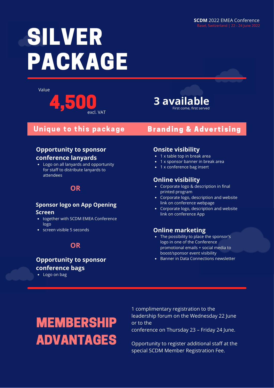# SILVER PACKAGE

Value





#### Unique to this package

#### **Opportunity to sponsor conference lanyards**

Logo on all lanyards and opportunity for staff to distribute lanyards to attendees

#### **OR**

#### **Sponsor logo on App Opening Screen**

- together with SCDM EMEA Conference logo
- screen visible 5 seconds

### **OR**

#### **Opportunity to sponsor conference bags**

Logo on bag

#### **Onsite visibility**

- 1 x table top in break area
- 1 x sponsor banner in break area

Branding & Advertising

• 1 x conference bag insert

#### **Online visibility**

- Corporate logo & description in final printed program
- Corporate logo, description and website link on conference webpage
- Corporate logo, description and website link on conference App

#### **Online marketing**

- The possibility to place the sponsor's logo in one of the Conference promotional emails + social media to boost/sponsor event visibility
- Banner in Data Connections newsletter

# MEMBERSHIP ADVANTAGES

1 complimentary registration to the leadership forum on the Wednesday 22 June or to the conference on Thursday 23 – Friday 24 June.

Opportunity to register additional staff at the special SCDM Member Registration Fee.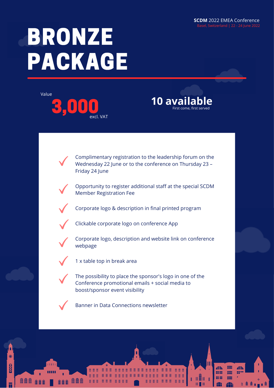4h

88

88

m.

**BBB** 

**EEE** 

# BRONZE PACKAGE





Complimentary registration to the leadership forum on the Wednesday 22 June or to the conference on Thursday 23 – Friday 24 June

Opportunity to register additional staff at the special SCDM Member Registration Fee





Clickable corporate logo on conference App



Corporate logo, description and website link on conference webpage



1 x table top in break area

The possibility to place the sponsor's logo in one of the Conference promotional emails + social media to boost/sponsor event visibility



∰ ∰ ∰

獵

**Q** 

٦

**AA** 

Banner in Data Connections newsletter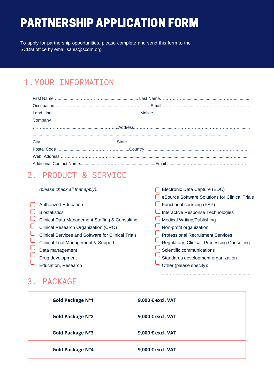## PARTNERSHIP APPLICATION FORM

To apply for partnership opportunities, please complete and send this form to the SCDM office by email sales@scdm.org

### 1.YOUR INFORMATION

| Company |  |
|---------|--|
|         |  |
|         |  |
|         |  |
|         |  |
|         |  |
|         |  |

### 2. PRODUCT & SERVICE

*(please check all that apply):*

|                                                           | eSource Software Solutions for Clinical Trials |
|-----------------------------------------------------------|------------------------------------------------|
| <b>Authorized Education</b>                               | Functional sourcing (FSP)                      |
| <b>Biostatistics</b>                                      | Interactive Response Technologies              |
| Clinical Data Management Staffing & Consulting            | <b>Medical Writing/Publishing</b>              |
| <b>Clinical Research Organization (CRO)</b>               | Non-profit organization                        |
| <b>Clinical Services and Software for Clinical Trials</b> | <b>Professional Recruitment Services</b>       |
| <b>Clinical Trial Management &amp; Support</b>            | Regulatory, Clinical, Processing Consulting    |
| Data management                                           | Scientific communications                      |
| Drug development                                          | Standards development organization             |
| Education, Research                                       | Other (please specify):                        |

Electronic Data Capture (EDC)

.....……………...................……......................

### 3. PACKAGE

| <b>Gold Package N°1</b> | 9,000 € excl. VAT |  |
|-------------------------|-------------------|--|
| <b>Gold Package N°2</b> | 9,000 € excl. VAT |  |
| <b>Gold Package N°3</b> | 9,000 € excl. VAT |  |
| <b>Gold Package N°4</b> | 9,000 € excl. VAT |  |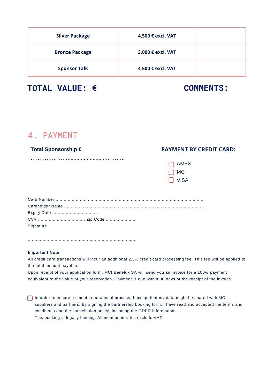| <b>Silver Package</b> | 4,500 € excl. VAT |  |
|-----------------------|-------------------|--|
| <b>Bronze Package</b> | 3,000 € excl. VAT |  |
| <b>Sponsor Talk</b>   | 4,500 € excl. VAT |  |

PARTNERSHIP APPLICATION FORM

**TOTAL VALUE: € COMMENTS:**

#### 4. PAYMENT

#### **Total Sponsorship €**

………………………………………………………………

#### **PAYMENT BY CREDIT CARD:**

| <b>AMEX</b> |  |
|-------------|--|
| МC          |  |
| VISA        |  |

| Signature |  |
|-----------|--|

#### **Important Note**

All credit card transactions will incur an additional 2.5% credit card processing fee. This fee will be applied to the total amount payable.

Upon receipt of your application form, MCI Benelux SA will send you an invoice for a 100% payment equivalent to the value of your reservation. Payment is due within 30 days of the receipt of the invoice.

 $\Box$  In order to ensure a smooth operational process, I accept that my data might be shared with MCI suppliers and partners. By signing the partnership booking form, I have read and accepted the terms and conditions and the cancellation policy, including the GDPR information. This booking is legally binding. All mentioned rates exclude VAT.